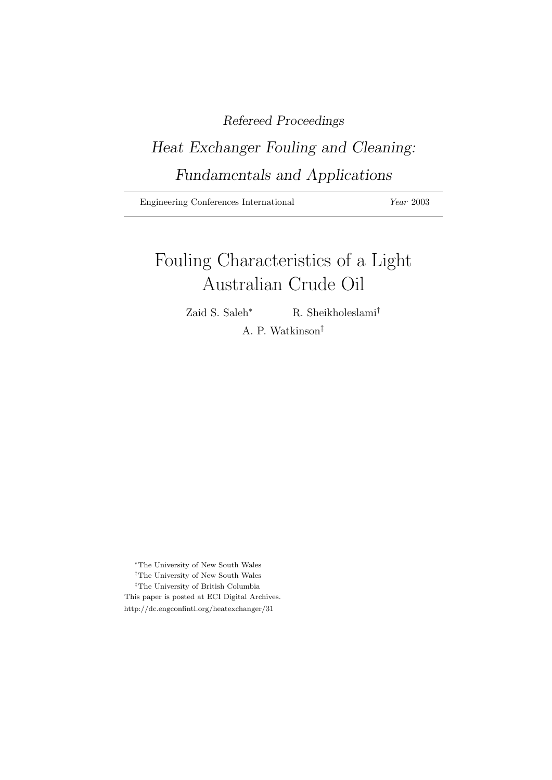### Refereed Proceedings

## Heat Exchanger Fouling and Cleaning: Fundamentals and Applications

Engineering Conferences International Year 2003

# Fouling Characteristics of a Light Australian Crude Oil

Zaid S. Saleh<sup>∗</sup> R. Sheikholeslami<sup>†</sup>

A. P. Watkinson‡

<sup>∗</sup>The University of New South Wales †The University of New South Wales ‡The University of British Columbia This paper is posted at ECI Digital Archives. http://dc.engconfintl.org/heatexchanger/31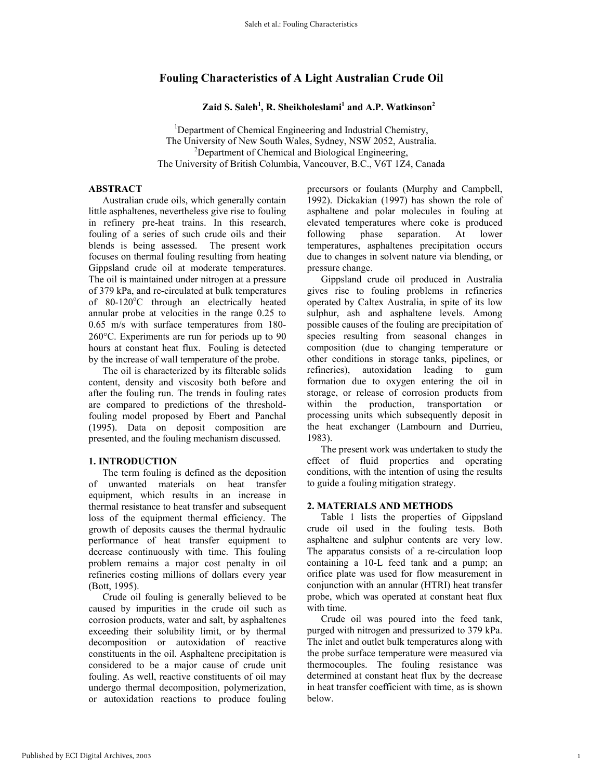### **Fouling Characteristics of A Light Australian Crude Oil**

**Zaid S. Saleh1 , R. Sheikholeslami1 and A.P. Watkinson2**

<sup>1</sup>Department of Chemical Engineering and Industrial Chemistry, The University of New South Wales, Sydney, NSW 2052, Australia. 2 <sup>2</sup>Department of Chemical and Biological Engineering, The University of British Columbia, Vancouver, B.C., V6T 1Z4, Canada

#### **ABSTRACT**

Australian crude oils, which generally contain little asphaltenes, nevertheless give rise to fouling in refinery pre-heat trains. In this research, fouling of a series of such crude oils and their blends is being assessed. The present work focuses on thermal fouling resulting from heating Gippsland crude oil at moderate temperatures. The oil is maintained under nitrogen at a pressure of 379 kPa, and re-circulated at bulk temperatures of 80-120°C through an electrically heated annular probe at velocities in the range 0.25 to 0.65 m/s with surface temperatures from 180- 260°C. Experiments are run for periods up to 90 hours at constant heat flux. Fouling is detected by the increase of wall temperature of the probe.

The oil is characterized by its filterable solids content, density and viscosity both before and after the fouling run. The trends in fouling rates are compared to predictions of the thresholdfouling model proposed by Ebert and Panchal (1995). Data on deposit composition are presented, and the fouling mechanism discussed.

#### **1. INTRODUCTION**

 The term fouling is defined as the deposition of unwanted materials on heat transfer equipment, which results in an increase in thermal resistance to heat transfer and subsequent loss of the equipment thermal efficiency. The growth of deposits causes the thermal hydraulic performance of heat transfer equipment to decrease continuously with time. This fouling problem remains a major cost penalty in oil refineries costing millions of dollars every year (Bott, 1995).

 Crude oil fouling is generally believed to be caused by impurities in the crude oil such as corrosion products, water and salt, by asphaltenes exceeding their solubility limit, or by thermal decomposition or autoxidation of reactive constituents in the oil. Asphaltene precipitation is considered to be a major cause of crude unit fouling. As well, reactive constituents of oil may undergo thermal decomposition, polymerization, or autoxidation reactions to produce fouling

precursors or foulants (Murphy and Campbell, 1992). Dickakian (1997) has shown the role of asphaltene and polar molecules in fouling at elevated temperatures where coke is produced following phase separation. At lower temperatures, asphaltenes precipitation occurs due to changes in solvent nature via blending, or pressure change.

Gippsland crude oil produced in Australia gives rise to fouling problems in refineries operated by Caltex Australia, in spite of its low sulphur, ash and asphaltene levels. Among possible causes of the fouling are precipitation of species resulting from seasonal changes in composition (due to changing temperature or other conditions in storage tanks, pipelines, or refineries), autoxidation leading to gum formation due to oxygen entering the oil in storage, or release of corrosion products from within the production, transportation or processing units which subsequently deposit in the heat exchanger (Lambourn and Durrieu, 1983).

The present work was undertaken to study the effect of fluid properties and operating conditions, with the intention of using the results to guide a fouling mitigation strategy.

#### **2. MATERIALS AND METHODS**

 Table 1 lists the properties of Gippsland crude oil used in the fouling tests. Both asphaltene and sulphur contents are very low. The apparatus consists of a re-circulation loop containing a 10-L feed tank and a pump; an orifice plate was used for flow measurement in conjunction with an annular (HTRI) heat transfer probe, which was operated at constant heat flux with time.

 Crude oil was poured into the feed tank, purged with nitrogen and pressurized to 379 kPa. The inlet and outlet bulk temperatures along with the probe surface temperature were measured via thermocouples. The fouling resistance was determined at constant heat flux by the decrease in heat transfer coefficient with time, as is shown below.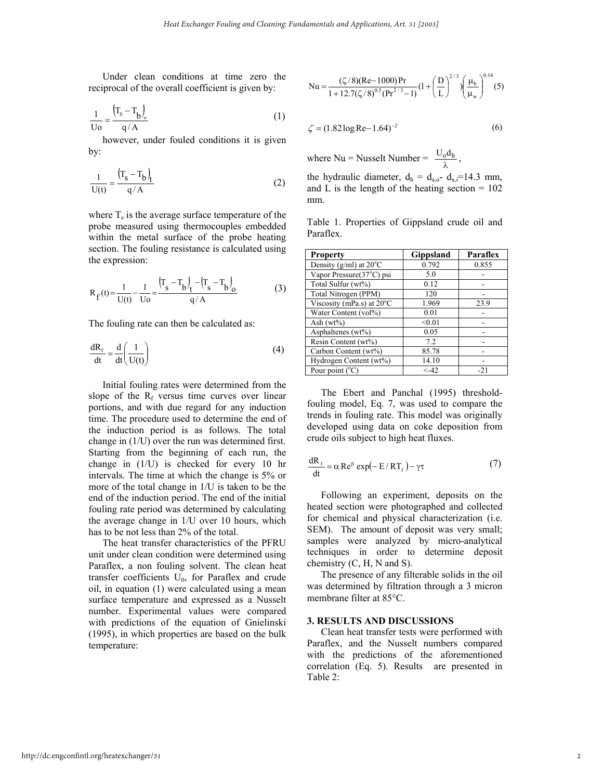Under clean conditions at time zero the reciprocal of the overall coefficient is given by:

$$
\frac{1}{\text{Uo}} = \frac{(\text{T}_\text{s} - \text{T}_\text{b})_o}{q/A}
$$
 (1)  $\zeta = (1.82 \log \text{Re} - 1.64)^{-2}$ 

however, under fouled conditions it is given

$$
\frac{1}{U(t)} = \frac{\left(\Gamma_s - T_b\right)_t}{q/A} \tag{2}
$$

where  $T_s$  is the average surface temperature of the probe measured using thermocouples embedded within the metal surface of the probe heating section. The fouling resistance is calculated using the expression:

$$
R_{f}(t) = \frac{1}{U(t)} - \frac{1}{U_0} = \frac{(T_s - T_b)_{t} - (T_s - T_b)_{0}}{q/A}
$$
(3)

The fouling rate can then be calculated as:

$$
\frac{dR_f}{dt} = \frac{d}{dt} \left( \frac{1}{U(t)} \right)
$$
(4)

Initial fouling rates were determined from the slope of the  $R_f$  versus time curves over linear portions, and with due regard for any induction time. The procedure used to determine the end of the induction period is as follows. The total change in (1/U) over the run was determined first. Starting from the beginning of each run, the change in (1/U) is checked for every 10 hr intervals. The time at which the change is 5% or more of the total change in 1/U is taken to be the end of the induction period. The end of the initial fouling rate period was determined by calculating the average change in 1/U over 10 hours, which has to be not less than 2% of the total.

The heat transfer characteristics of the PFRU unit under clean condition were determined using Paraflex, a non fouling solvent. The clean heat transfer coefficients  $U_0$ , for Paraflex and crude oil, in equation (1) were calculated using a mean surface temperature and expressed as a Nusselt number. Experimental values were compared with predictions of the equation of Gnielinski (1995), in which properties are based on the bulk temperature:

$$
Nu = \frac{(\zeta/8)(Re - 1000)Pr}{1 + 12.7(\zeta/8)^{0.5}(Pr^{2/3} - 1)} \left(1 + \left(\frac{D}{L}\right)^{2/3}\right) \left(\frac{\mu_b}{\mu_w}\right)^{0.14} (5)
$$

$$
\zeta = (1.82 \log \text{Re} - 1.64)^{-2} \tag{6}
$$

by:<br>
where  $Nu = Nusselt$  Number =  $\frac{U_0 d_h}{\lambda}$ ,

the hydraulic diameter,  $d_h = d_{a,0} - d_{a,i} = 14.3$  mm, and L is the length of the heating section  $= 102$ mm.

Table 1. Properties of Gippsland crude oil and Paraflex.

| <b>Property</b>                     | <b>Gippsland</b> | Paraflex |
|-------------------------------------|------------------|----------|
| Density (g/ml) at $20^{\circ}$ C    | 0.792            | 0.855    |
| Vapor Pressure(37°C) psi            | 5.0              |          |
| Total Sulfur (wt%)                  | 0.12             |          |
| Total Nitrogen (PPM)                | 120              |          |
| Viscosity (mPa.s) at $20^{\circ}$ C | 1.969            | 23.9     |
| Water Content (vol%)                | 0.01             |          |
| Ash $(wt\%)$                        | < 0.01           |          |
| Asphaltenes (wt%)                   | 0.05             |          |
| Resin Content (wt%)                 | 7.2              |          |
| Carbon Content (wt%)                | 85.78            |          |
| Hydrogen Content (wt%)              | 14.10            |          |
| Pour point $(^{\circ}C)$            | $< -42$          | $-2.1$   |

 The Ebert and Panchal (1995) thresholdfouling model, Eq. 7, was used to compare the trends in fouling rate. This model was originally developed using data on coke deposition from crude oils subject to high heat fluxes.

$$
\frac{dR_f}{dt} = \alpha \operatorname{Re}^{\beta} \exp(-E/RT_f) - \gamma \tau
$$
 (7)

Following an experiment, deposits on the heated section were photographed and collected for chemical and physical characterization (i.e. SEM). The amount of deposit was very small; samples were analyzed by micro-analytical techniques in order to determine deposit chemistry  $(C, H, N \text{ and } S)$ .

The presence of any filterable solids in the oil was determined by filtration through a 3 micron membrane filter at 85°C.

#### **3. RESULTS AND DISCUSSIONS**

 Clean heat transfer tests were performed with Paraflex, and the Nusselt numbers compared with the predictions of the aforementioned correlation (Eq. 5). Results are presented in Table 2: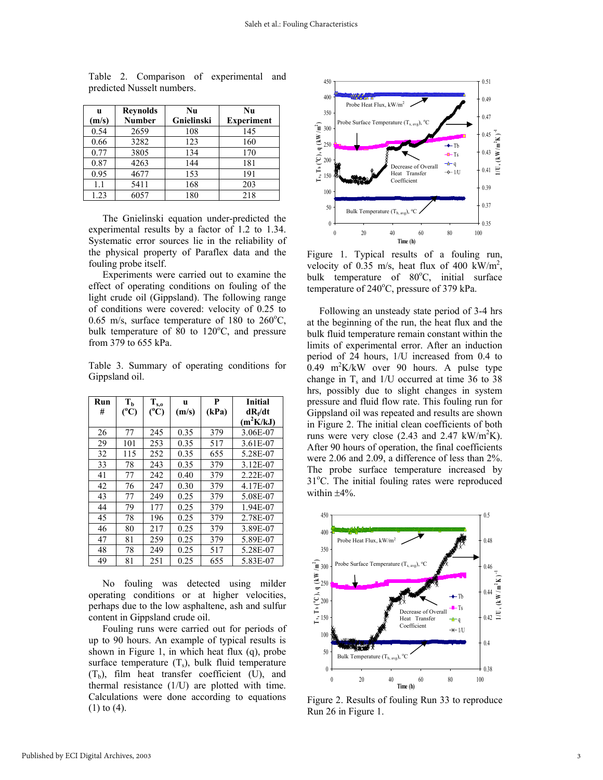| u     | <b>Reynolds</b> | Nu         | Nu                |
|-------|-----------------|------------|-------------------|
| (m/s) | <b>Number</b>   | Gnielinski | <b>Experiment</b> |
| 0.54  | 2659            | 108        | 145               |
| 0.66  | 3282            | 123        | 160               |
| 0.77  | 3805            | 134        | 170               |
| 0.87  | 4263            | 144        | 181               |
| 0.95  | 4677            | 153        | 191               |
| 1.1   | 5411            | 168        | 203               |
| 1.23  | 6057            | 180        | 218               |

Table 2. Comparison of experimental and predicted Nusselt numbers.

 The Gnielinski equation under-predicted the experimental results by a factor of 1.2 to 1.34. Systematic error sources lie in the reliability of the physical property of Paraflex data and the fouling probe itself.

 Experiments were carried out to examine the effect of operating conditions on fouling of the light crude oil (Gippsland). The following range of conditions were covered: velocity of 0.25 to  $0.65$  m/s, surface temperature of 180 to 260 $^{\circ}$ C, bulk temperature of  $\overline{80}$  to  $120^{\circ}$ C, and pressure from 379 to 655 kPa.

Table 3. Summary of operating conditions for Gippsland oil.

| Run | $\mathbf{T_{b}}$ | $\mathbf{T}_{s,o}$ | u     | P     | <b>Initial</b> |
|-----|------------------|--------------------|-------|-------|----------------|
| #   | $(^{\circ}C)$    | $(^{\circ}C)$      | (m/s) | (kPa) | $dR_f/dt$      |
|     |                  |                    |       |       | $(m^2K/kJ)$    |
| 26  | 77               | 245                | 0.35  | 379   | 3.06E-07       |
| 29  | 101              | 253                | 0.35  | 517   | 3.61E-07       |
| 32  | 115              | 252                | 0.35  | 655   | 5.28E-07       |
| 33  | 78               | 243                | 0.35  | 379   | 3.12E-07       |
| 41  | 77               | 242                | 0.40  | 379   | 2.22E-07       |
| 42  | 76               | 247                | 0.30  | 379   | 4.17E-07       |
| 43  | 77               | 249                | 0.25  | 379   | 5.08E-07       |
| 44  | 79               | 177                | 0.25  | 379   | 1.94E-07       |
| 45  | 78               | 196                | 0.25  | 379   | 2.78E-07       |
| 46  | 80               | 217                | 0.25  | 379   | 3.89E-07       |
| 47  | 81               | 259                | 0.25  | 379   | 5.89E-07       |
| 48  | 78               | 249                | 0.25  | 517   | 5.28E-07       |
| 49  | 81               | 251                | 0.25  | 655   | 5.83E-07       |

 No fouling was detected using milder operating conditions or at higher velocities, perhaps due to the low asphaltene, ash and sulfur content in Gippsland crude oil.

Fouling runs were carried out for periods of up to 90 hours. An example of typical results is shown in Figure 1, in which heat flux (q), probe surface temperature  $(T_s)$ , bulk fluid temperature  $(T_b)$ , film heat transfer coefficient (U), and thermal resistance (1/U) are plotted with time. Calculations were done according to equations (1) to (4).



Figure 1. Typical results of a fouling run, velocity of  $0.35$  m/s, heat flux of 400 kW/m<sup>2</sup>, bulk temperature of 80°C, initial surface temperature of 240°C, pressure of 379 kPa.

 Following an unsteady state period of 3-4 hrs at the beginning of the run, the heat flux and the bulk fluid temperature remain constant within the limits of experimental error. After an induction period of 24 hours, 1/U increased from 0.4 to  $0.49$  m<sup>2</sup>K/kW over 90 hours. A pulse type change in  $T_s$  and  $1/U$  occurred at time 36 to 38 hrs, possibly due to slight changes in system pressure and fluid flow rate. This fouling run for Gippsland oil was repeated and results are shown in Figure 2. The initial clean coefficients of both runs were very close  $(2.43 \text{ and } 2.47 \text{ kW/m}^2\text{K})$ . After 90 hours of operation, the final coefficients were 2.06 and 2.09, a difference of less than 2%. The probe surface temperature increased by 31°C. The initial fouling rates were reproduced within ±4%.



Figure 2. Results of fouling Run 33 to reproduce Run 26 in Figure 1.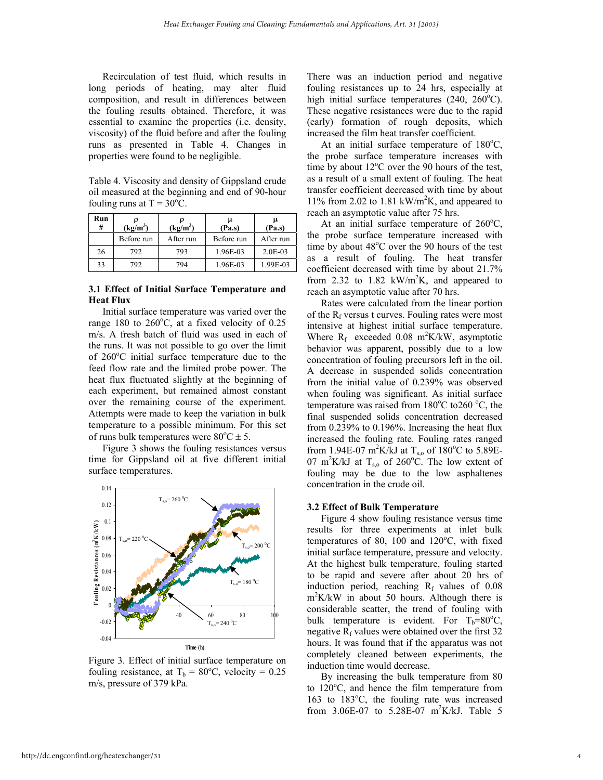Recirculation of test fluid, which results in long periods of heating, may alter fluid composition, and result in differences between the fouling results obtained. Therefore, it was essential to examine the properties (i.e. density, viscosity) of the fluid before and after the fouling runs as presented in Table 4. Changes in properties were found to be negligible.

Table 4. Viscosity and density of Gippsland crude oil measured at the beginning and end of 90-hour fouling runs at  $T = 30^{\circ}C$ .

| Run<br># | (kg/m <sup>3</sup> ) | $(kg/m^3)$ | (Pa.s)     | (Pa.s)    |
|----------|----------------------|------------|------------|-----------|
|          | Before run           | After run  | Before run | After run |
| 26       | 792                  | 793        | 1.96E-03   | $2.0E-03$ |
| 33       | 792                  | 794        | 1.96E-03   | 1.99E-03  |

#### **3.1 Effect of Initial Surface Temperature and Heat Flux** Rates were calculated from the linear portion

Initial surface temperature was varied over the range 180 to  $260^{\circ}$ C, at a fixed velocity of 0.25 m/s. A fresh batch of fluid was used in each of the runs. It was not possible to go over the limit of 260°C initial surface temperature due to the feed flow rate and the limited probe power. The heat flux fluctuated slightly at the beginning of each experiment, but remained almost constant over the remaining course of the experiment. Attempts were made to keep the variation in bulk temperature to a possible minimum. For this set of runs bulk temperatures were  $80^{\circ}$ C  $\pm$  5.

 Figure 3 shows the fouling resistances versus time for Gippsland oil at five different initial surface temperatures.



Figure 3. Effect of initial surface temperature on fouling resistance, at  $T_b = 80^{\circ}$ C, velocity = 0.25 m/s, pressure of 379 kPa.<br>By increasing the bulk temperature from 80<br>to 120<sup>o</sup>C and hange the film temperature from

There was an induction period and negative fouling resistances up to 24 hrs, especially at high initial surface temperatures  $(240, 260^{\circ}$ C). These negative resistances were due to the rapid (early) formation of rough deposits, which increased the film heat transfer coefficient.

At an initial surface temperature of  $180^{\circ}$ C, the probe surface temperature increases with time by about  $12^{\circ}$ C over the 90 hours of the test, as a result of a small extent of fouling. The heat transfer coefficient decreased with time by about 11% from 2.02 to 1.81 kW/m<sup>2</sup>K, and appeared to reach an asymptotic value after 75 hrs.

At an initial surface temperature of  $260^{\circ}$ C, the probe surface temperature increased with time by about 48°C over the 90 hours of the test as a result of fouling. The heat transfer coefficient decreased with time by about 21.7% from 2.32 to 1.82  $kW/m^2K$ , and appeared to reach an asymptotic value after 70 hrs.

of the  $R_f$  versus t curves. Fouling rates were most intensive at highest initial surface temperature. Where  $R_f$  exceeded 0.08 m<sup>2</sup>K/kW, asymptotic behavior was apparent, possibly due to a low concentration of fouling precursors left in the oil. A decrease in suspended solids concentration from the initial value of 0.239% was observed when fouling was significant. As initial surface temperature was raised from  $180^{\circ}$ C to 260 °C, the final suspended solids concentration decreased from 0.239% to 0.196%. Increasing the heat flux increased the fouling rate. Fouling rates ranged from 1.94E-07 m<sup>2</sup>K/kJ at T<sub>s,o</sub> of 180<sup>o</sup>C to 5.89E-07 m<sup>2</sup>K/kJ at T<sub>s,o</sub> of 260°C. The low extent of fouling may be due to the low asphaltenes concentration in the crude oil.

#### **3.2 Effect of Bulk Temperature**

 Figure 4 show fouling resistance versus time results for three experiments at inlet bulk temperatures of 80, 100 and  $120^{\circ}$ C, with fixed initial surface temperature, pressure and velocity. At the highest bulk temperature, fouling started to be rapid and severe after about 20 hrs of induction period, reaching  $R_f$  values of 0.08 m2 K/kW in about 50 hours. Although there is considerable scatter, the trend of fouling with bulk temperature is evident. For  $T_b = 80^\circ \text{C}$ , negative  $R_f$  values were obtained over the first 32 hours. It was found that if the apparatus was not completely cleaned between experiments, the induction time would decrease.

to 120°C, and hence the film temperature from 163 to 183°C, the fouling rate was increased from 3.06E-07 to 5.28E-07 m<sup>2</sup>K/kJ. Table 5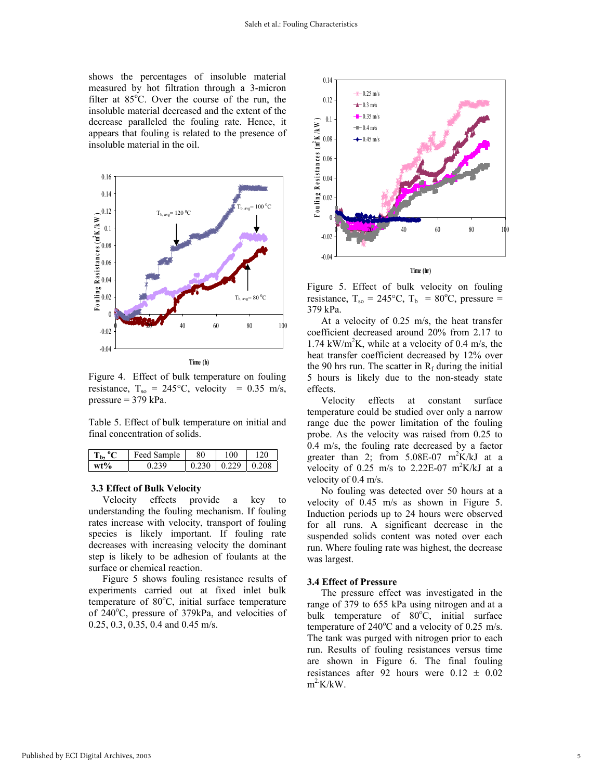shows the percentages of insoluble material measured by hot filtration through a 3-micron filter at  $85^{\circ}$ C. Over the course of the run, the insoluble material decreased and the extent of the decrease paralleled the fouling rate. Hence, it appears that fouling is related to the presence of insoluble material in the oil.



Figure 4. Effect of bulk temperature on fouling resistance,  $T_{so} = 245^{\circ}C$ , velocity = 0.35 m/s, pressure = 379 kPa. Velocity effects at constant surface

Table 5. Effect of bulk temperature on initial and final concentration of solids.

| $T_{\rm b}$ , $^{\rm o}$ C | Feed Sample | 80                            | 100 | 120 |
|----------------------------|-------------|-------------------------------|-----|-----|
| $wt\%$                     | 0.239       | $0.230 \mid 0.229 \mid 0.208$ |     |     |

a key to understanding the fouling mechanism. If fouling rates increase with velocity, transport of fouling species is likely important. If fouling rate decreases with increasing velocity the dominant step is likely to be adhesion of foulants at the surface or chemical reaction.

 Figure 5 shows fouling resistance results of experiments carried out at fixed inlet bulk temperature of 80°C, initial surface temperature of 240°C, pressure of 379kPa, and velocities of 0.25, 0.3, 0.35, 0.4 and 0.45 m/s.



Figure 5. Effect of bulk velocity on fouling resistance,  $T_{so} = 245^{\circ}C$ ,  $T_b = 80^{\circ}C$ , pressure = 379 kPa.

 At a velocity of 0.25 m/s, the heat transfer coefficient decreased around 20% from 2.17 to  $1.74 \text{ kW/m}^2\text{K}$ , while at a velocity of 0.4 m/s, the heat transfer coefficient decreased by 12% over the 90 hrs run. The scatter in  $R_f$  during the initial 5 hours is likely due to the non-steady state effects.

temperature could be studied over only a narrow range due the power limitation of the fouling probe. As the velocity was raised from 0.25 to 0.4 m/s, the fouling rate decreased by a factor greater than 2; from  $5.08E-07$  m<sup>2</sup>K/kJ at a velocity of 0.25 m/s to 2.22E-07 m<sup>2</sup>K/kJ at a velocity of 0.4 m/s.

**3.3 Effect of Bulk Velocity**<br>Velocity effects provide a key to velocity of 0.45 m/s as shown in Figure 5 velocity of 0.45 m/s as shown in Figure 5. Induction periods up to 24 hours were observed for all runs. A significant decrease in the suspended solids content was noted over each run. Where fouling rate was highest, the decrease was largest.

#### **3.4 Effect of Pressure**

 The pressure effect was investigated in the range of 379 to 655 kPa using nitrogen and at a bulk temperature of 80°C, initial surface temperature of  $240^{\circ}$ C and a velocity of 0.25 m/s. The tank was purged with nitrogen prior to each run. Results of fouling resistances versus time are shown in Figure 6. The final fouling resistances after 92 hours were  $0.12 \pm 0.02$  $m^2$ K/kW.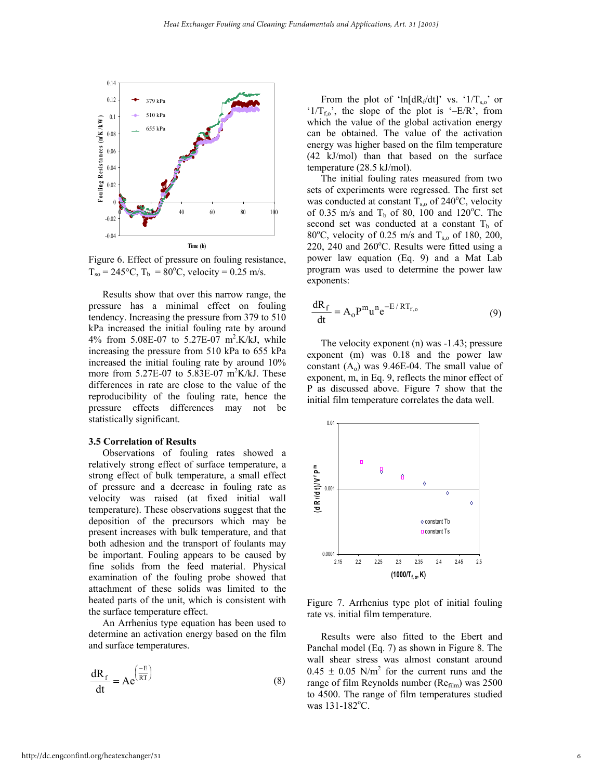

Figure 6. Effect of pressure on fouling resistance,  $T_{so} = 245$ °C,  $T_b = 80$ °C, velocity = 0.25 m/s.

 Results show that over this narrow range, the pressure has a minimal effect on fouling tendency. Increasing the pressure from 379 to 510 kPa increased the initial fouling rate by around 4% from 5.08E-07 to 5.27E-07 m2 .K/kJ, while increasing the pressure from 510 kPa to 655 kPa increased the initial fouling rate by around 10% more from  $5.27E-07$  to  $5.83E-07$  m<sup>2</sup>K/kJ. These differences in rate are close to the value of the reproducibility of the fouling rate, hence the pressure effects differences may not be statistically significant.

#### **3.5 Correlation of Results**

 Observations of fouling rates showed a relatively strong effect of surface temperature, a strong effect of bulk temperature, a small effect of pressure and a decrease in fouling rate as velocity was raised (at fixed initial wall temperature). These observations suggest that the deposition of the precursors which may be present increases with bulk temperature, and that both adhesion and the transport of foulants may be important. Fouling appears to be caused by fine solids from the feed material. Physical examination of the fouling probe showed that attachment of these solids was limited to the heated parts of the unit, which is consistent with

An Arrhenius type equation has been used to determine an activation energy based on the film and surface temperatures.

$$
\frac{dR_f}{dt} = Ae^{\left(\frac{-E}{RT}\right)}
$$
 (8)

From the plot of 'ln[dR<sub>f</sub>/dt]' vs. ' $1/T_{s,o}$ ' or  $1/T_{f0}$ , the slope of the plot is  $-E/R$ , from which the value of the global activation energy can be obtained. The value of the activation energy was higher based on the film temperature (42 kJ/mol) than that based on the surface temperature (28.5 kJ/mol).

 The initial fouling rates measured from two sets of experiments were regressed. The first set was conducted at constant  $T_{s,0}$  of 240°C, velocity of 0.35 m/s and  $T<sub>b</sub>$  of 80, 100 and 120°C. The second set was conducted at a constant  $T_b$  of 80°C, velocity of 0.25 m/s and  $T_{s,0}$  of 180, 200,  $220$ ,  $240$  and  $260^{\circ}$ C. Results were fitted using a power law equation (Eq. 9) and a Mat Lab program was used to determine the power law exponents:

$$
\frac{dR_f}{dt} = A_o P^m u^n e^{-E/RT_{f,o}} \tag{9}
$$

 The velocity exponent (n) was -1.43; pressure exponent (m) was 0.18 and the power law constant  $(A_0)$  was 9.46E-04. The small value of exponent, m, in Eq. 9, reflects the minor effect of P as discussed above. Figure 7 show that the initial film temperature correlates the data well.



heated parts of the unit, which is consistent with Figure 7. Arrhenius type plot of initial fouling the surface temperature effect.

 Results were also fitted to the Ebert and Panchal model (Eq. 7) as shown in Figure 8. The wall shear stress was almost constant around  $0.45 \pm 0.05$  N/m<sup>2</sup> for the current runs and the range of film Reynolds number (Refilm) was 2500 to 4500. The range of film temperatures studied was  $131 - 182$ <sup>o</sup>C.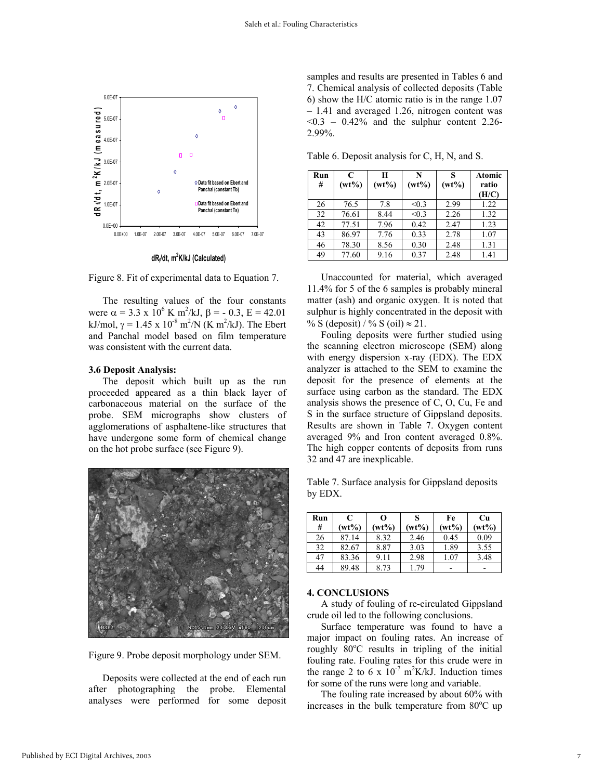

**dRf/dt, m2 K/kJ (Calculated)**

Figure 8. Fit of experimental data to Equation 7.

 The resulting values of the four constants were  $\alpha = 3.3 \times 10^6$  K m<sup>2</sup>/kJ,  $\beta = -0.3$ ,  $E = 42.01$ kJ/mol,  $\gamma = 1.45 \times 10^{-8} \text{ m}^2/\text{N}$  (K m<sup>2</sup>/kJ). The Ebert and Panchal model based on film temperature was consistent with the current data.

#### **3.6 Deposit Analysis:**

 The deposit which built up as the run proceeded appeared as a thin black layer of carbonaceous material on the surface of the probe. SEM micrographs show clusters of agglomerations of asphaltene-like structures that have undergone some form of chemical change on the hot probe surface (see Figure 9).



Figure 9. Probe deposit morphology under SEM.

Deposits were collected at the end of each run after photographing the probe. Elemental analyses were performed for some deposit

samples and results are presented in Tables 6 and 7. Chemical analysis of collected deposits (Table 6) show the H/C atomic ratio is in the range 1.07 – 1.41 and averaged 1.26, nitrogen content was  $\leq 0.3$  – 0.42% and the sulphur content 2.26-2.99%.

Table 6. Deposit analysis for C, H, N, and S.

| Run<br># | C<br>$(wt\%)$ | Ħ<br>$(wt\%)$ | N<br>$(wt\%)$ | S<br>$(wt\%)$ | Atomic<br>ratio<br>(H/C) |
|----------|---------------|---------------|---------------|---------------|--------------------------|
| 26       | 76.5          | 7.8           | < 0.3         | 2.99          | 1.22                     |
| 32       | 76.61         | 8.44          | < 0.3         | 2.26          | 1.32                     |
| 42       | 77.51         | 7.96          | 0.42          | 2.47          | 1.23                     |
| 43       | 86.97         | 7.76          | 0.33          | 2.78          | 1.07                     |
| 46       | 78.30         | 8.56          | 0.30          | 2.48          | 1.31                     |
| 49       | 77.60         | 9.16          | 0.37          | 2.48          | 1.41                     |

Unaccounted for material, which averaged 11.4% for 5 of the 6 samples is probably mineral matter (ash) and organic oxygen. It is noted that sulphur is highly concentrated in the deposit with % S (deposit) / % S (oil)  $\approx$  21.

Fouling deposits were further studied using the scanning electron microscope (SEM) along with energy dispersion x-ray (EDX). The EDX analyzer is attached to the SEM to examine the deposit for the presence of elements at the surface using carbon as the standard. The EDX analysis shows the presence of C, O, Cu, Fe and S in the surface structure of Gippsland deposits. Results are shown in Table 7. Oxygen content averaged 9% and Iron content averaged 0.8%. The high copper contents of deposits from runs 32 and 47 are inexplicable.

Table 7. Surface analysis for Gippsland deposits by EDX.

| Run | C        | O        |        | Fe       | Cu       |
|-----|----------|----------|--------|----------|----------|
| #   | $(wt\%)$ | $(wt\%)$ | $wt\%$ | $(wt\%)$ | $(wt\%)$ |
| 26  | 87.14    | 8.32     | 2.46   | 0.45     | 0.09     |
| 32  | 82.67    | 8.87     | 3.03   | 1.89     | 3.55     |
| 47  | 83.36    | 9.11     | 2.98   | 1.07     | 3.48     |
| 44  | 89.48    | 8.73     | 179    | -        | -        |

#### **4. CONCLUSIONS**

 A study of fouling of re-circulated Gippsland crude oil led to the following conclusions.

 Surface temperature was found to have a major impact on fouling rates. An increase of roughly  $80^{\circ}$ C results in tripling of the initial fouling rate. Fouling rates for this crude were in the range 2 to 6 x  $10^{-7}$  m<sup>2</sup>K/kJ. Induction times for some of the runs were long and variable.

The fouling rate increased by about 60% with increases in the bulk temperature from 80°C up